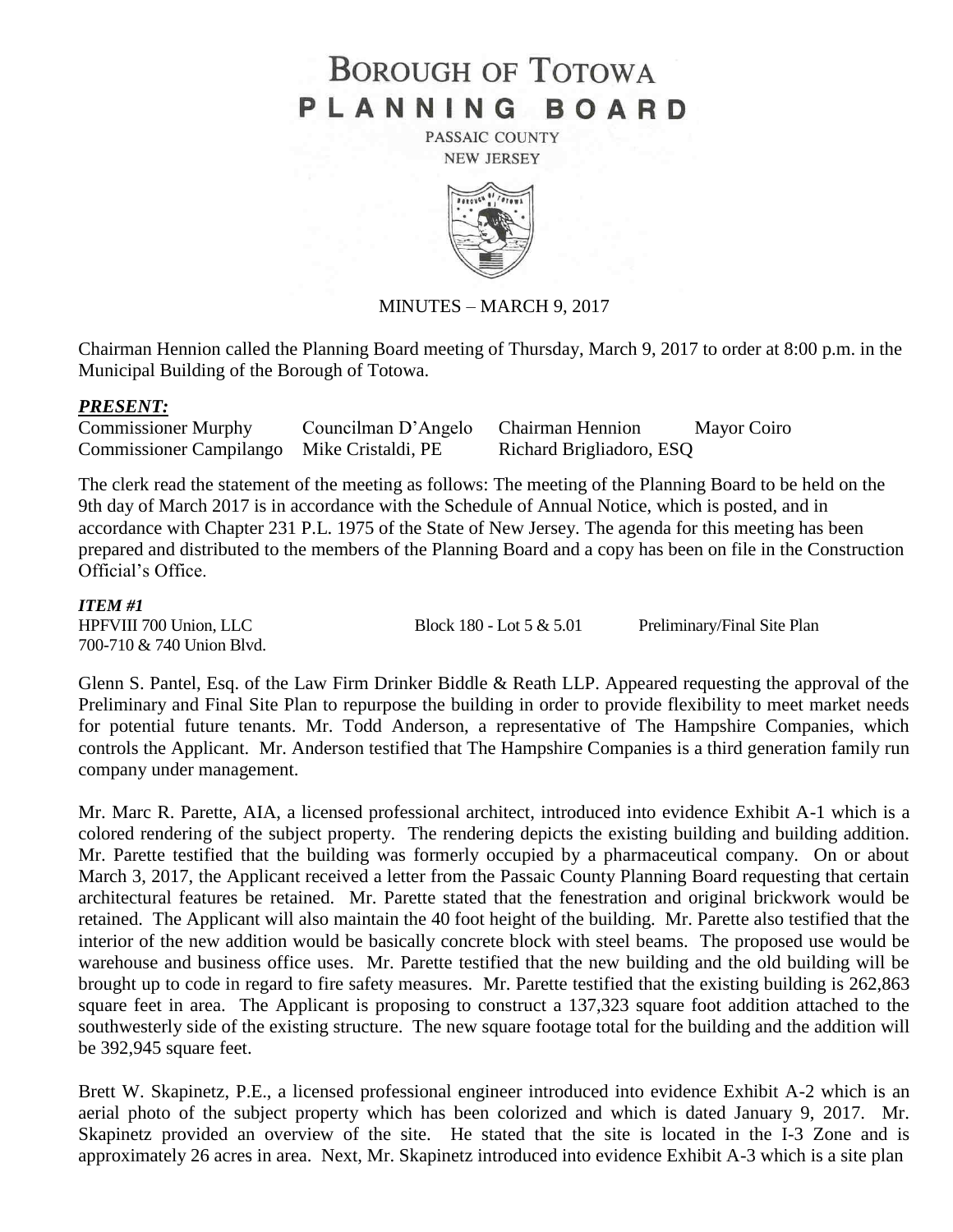# **BOROUGH OF TOTOWA** PLANNING BOARD

PASSAIC COUNTY **NEW JERSEY** 



## MINUTES – MARCH 9, 2017

Chairman Hennion called the Planning Board meeting of Thursday, March 9, 2017 to order at 8:00 p.m. in the Municipal Building of the Borough of Totowa.

#### *PRESENT:*

| <b>Commissioner Murphy</b>                 | Councilman D'Angelo | <b>Chairman Hennion</b>  | Mayor Coiro |
|--------------------------------------------|---------------------|--------------------------|-------------|
| Commissioner Campilango Mike Cristaldi, PE |                     | Richard Brigliadoro, ESQ |             |

The clerk read the statement of the meeting as follows: The meeting of the Planning Board to be held on the 9th day of March 2017 is in accordance with the Schedule of Annual Notice, which is posted, and in accordance with Chapter 231 P.L. 1975 of the State of New Jersey. The agenda for this meeting has been prepared and distributed to the members of the Planning Board and a copy has been on file in the Construction Official's Office.

#### *ITEM #1*

700-710 & 740 Union Blvd.

HPFVIII 700 Union, LLC Block 180 - Lot 5 & 5.01 Preliminary/Final Site Plan

Glenn S. Pantel, Esq. of the Law Firm Drinker Biddle & Reath LLP. Appeared requesting the approval of the Preliminary and Final Site Plan to repurpose the building in order to provide flexibility to meet market needs for potential future tenants. Mr. Todd Anderson, a representative of The Hampshire Companies, which controls the Applicant. Mr. Anderson testified that The Hampshire Companies is a third generation family run company under management.

Mr. Marc R. Parette, AIA, a licensed professional architect, introduced into evidence Exhibit A-1 which is a colored rendering of the subject property. The rendering depicts the existing building and building addition. Mr. Parette testified that the building was formerly occupied by a pharmaceutical company. On or about March 3, 2017, the Applicant received a letter from the Passaic County Planning Board requesting that certain architectural features be retained. Mr. Parette stated that the fenestration and original brickwork would be retained. The Applicant will also maintain the 40 foot height of the building. Mr. Parette also testified that the interior of the new addition would be basically concrete block with steel beams. The proposed use would be warehouse and business office uses. Mr. Parette testified that the new building and the old building will be brought up to code in regard to fire safety measures. Mr. Parette testified that the existing building is 262,863 square feet in area. The Applicant is proposing to construct a 137,323 square foot addition attached to the southwesterly side of the existing structure. The new square footage total for the building and the addition will be 392,945 square feet.

Brett W. Skapinetz, P.E., a licensed professional engineer introduced into evidence Exhibit A-2 which is an aerial photo of the subject property which has been colorized and which is dated January 9, 2017. Mr. Skapinetz provided an overview of the site. He stated that the site is located in the I-3 Zone and is approximately 26 acres in area. Next, Mr. Skapinetz introduced into evidence Exhibit A-3 which is a site plan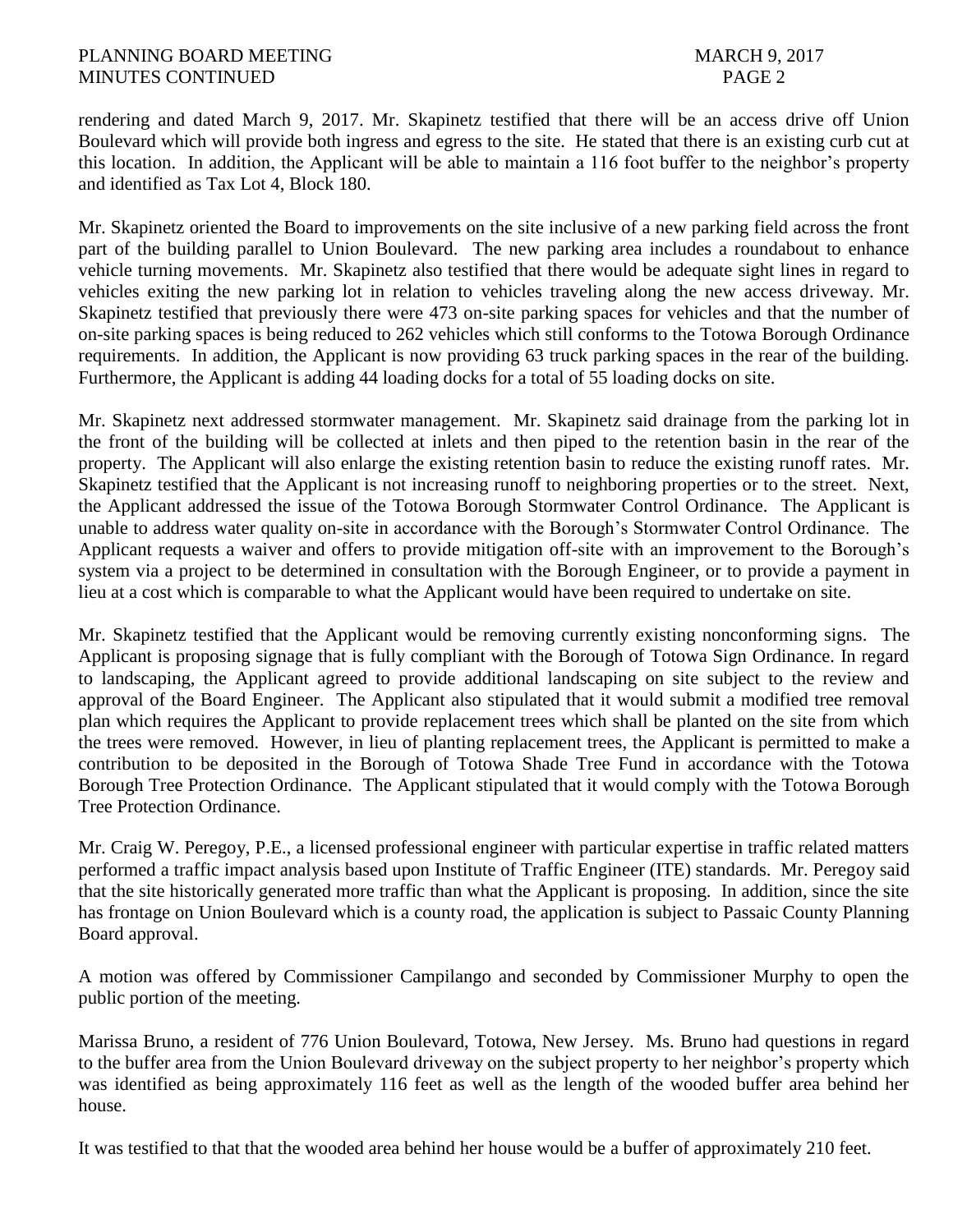## PLANNING BOARD MEETING MARCH 9, 2017 MINUTES CONTINUED PAGE 2

rendering and dated March 9, 2017. Mr. Skapinetz testified that there will be an access drive off Union Boulevard which will provide both ingress and egress to the site. He stated that there is an existing curb cut at this location. In addition, the Applicant will be able to maintain a 116 foot buffer to the neighbor's property and identified as Tax Lot 4, Block 180.

Mr. Skapinetz oriented the Board to improvements on the site inclusive of a new parking field across the front part of the building parallel to Union Boulevard. The new parking area includes a roundabout to enhance vehicle turning movements. Mr. Skapinetz also testified that there would be adequate sight lines in regard to vehicles exiting the new parking lot in relation to vehicles traveling along the new access driveway. Mr. Skapinetz testified that previously there were 473 on-site parking spaces for vehicles and that the number of on-site parking spaces is being reduced to 262 vehicles which still conforms to the Totowa Borough Ordinance requirements. In addition, the Applicant is now providing 63 truck parking spaces in the rear of the building. Furthermore, the Applicant is adding 44 loading docks for a total of 55 loading docks on site.

Mr. Skapinetz next addressed stormwater management. Mr. Skapinetz said drainage from the parking lot in the front of the building will be collected at inlets and then piped to the retention basin in the rear of the property. The Applicant will also enlarge the existing retention basin to reduce the existing runoff rates. Mr. Skapinetz testified that the Applicant is not increasing runoff to neighboring properties or to the street. Next, the Applicant addressed the issue of the Totowa Borough Stormwater Control Ordinance. The Applicant is unable to address water quality on-site in accordance with the Borough's Stormwater Control Ordinance. The Applicant requests a waiver and offers to provide mitigation off-site with an improvement to the Borough's system via a project to be determined in consultation with the Borough Engineer, or to provide a payment in lieu at a cost which is comparable to what the Applicant would have been required to undertake on site.

Mr. Skapinetz testified that the Applicant would be removing currently existing nonconforming signs. The Applicant is proposing signage that is fully compliant with the Borough of Totowa Sign Ordinance. In regard to landscaping, the Applicant agreed to provide additional landscaping on site subject to the review and approval of the Board Engineer. The Applicant also stipulated that it would submit a modified tree removal plan which requires the Applicant to provide replacement trees which shall be planted on the site from which the trees were removed. However, in lieu of planting replacement trees, the Applicant is permitted to make a contribution to be deposited in the Borough of Totowa Shade Tree Fund in accordance with the Totowa Borough Tree Protection Ordinance. The Applicant stipulated that it would comply with the Totowa Borough Tree Protection Ordinance.

Mr. Craig W. Peregoy, P.E., a licensed professional engineer with particular expertise in traffic related matters performed a traffic impact analysis based upon Institute of Traffic Engineer (ITE) standards. Mr. Peregoy said that the site historically generated more traffic than what the Applicant is proposing. In addition, since the site has frontage on Union Boulevard which is a county road, the application is subject to Passaic County Planning Board approval.

A motion was offered by Commissioner Campilango and seconded by Commissioner Murphy to open the public portion of the meeting.

Marissa Bruno, a resident of 776 Union Boulevard, Totowa, New Jersey. Ms. Bruno had questions in regard to the buffer area from the Union Boulevard driveway on the subject property to her neighbor's property which was identified as being approximately 116 feet as well as the length of the wooded buffer area behind her house.

It was testified to that that the wooded area behind her house would be a buffer of approximately 210 feet.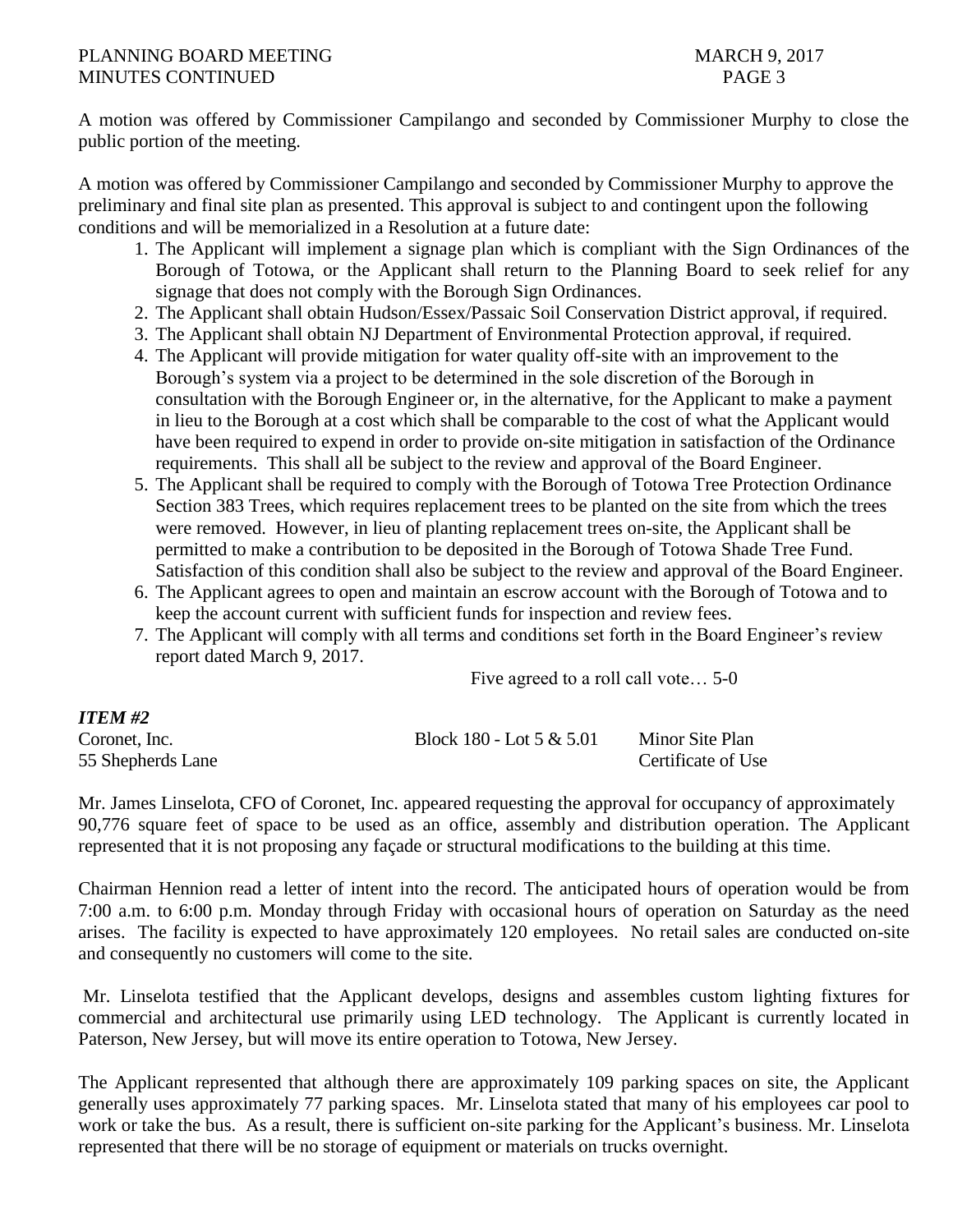## PLANNING BOARD MEETING MARCH 9, 2017 MINUTES CONTINUED PAGE 3

A motion was offered by Commissioner Campilango and seconded by Commissioner Murphy to close the public portion of the meeting.

A motion was offered by Commissioner Campilango and seconded by Commissioner Murphy to approve the preliminary and final site plan as presented. This approval is subject to and contingent upon the following conditions and will be memorialized in a Resolution at a future date:

- 1. The Applicant will implement a signage plan which is compliant with the Sign Ordinances of the Borough of Totowa, or the Applicant shall return to the Planning Board to seek relief for any signage that does not comply with the Borough Sign Ordinances.
- 2. The Applicant shall obtain Hudson/Essex/Passaic Soil Conservation District approval, if required.
- 3. The Applicant shall obtain NJ Department of Environmental Protection approval, if required.
- 4. The Applicant will provide mitigation for water quality off-site with an improvement to the Borough's system via a project to be determined in the sole discretion of the Borough in consultation with the Borough Engineer or, in the alternative, for the Applicant to make a payment in lieu to the Borough at a cost which shall be comparable to the cost of what the Applicant would have been required to expend in order to provide on-site mitigation in satisfaction of the Ordinance requirements. This shall all be subject to the review and approval of the Board Engineer.
- 5. The Applicant shall be required to comply with the Borough of Totowa Tree Protection Ordinance Section 383 Trees, which requires replacement trees to be planted on the site from which the trees were removed. However, in lieu of planting replacement trees on-site, the Applicant shall be permitted to make a contribution to be deposited in the Borough of Totowa Shade Tree Fund. Satisfaction of this condition shall also be subject to the review and approval of the Board Engineer.
- 6. The Applicant agrees to open and maintain an escrow account with the Borough of Totowa and to keep the account current with sufficient funds for inspection and review fees.
- 7. The Applicant will comply with all terms and conditions set forth in the Board Engineer's review report dated March 9, 2017.

Five agreed to a roll call vote… 5-0

| <i>ITEM #2</i>    |                            |                    |
|-------------------|----------------------------|--------------------|
| Coronet, Inc.     | Block 180 - Lot $5 & 5.01$ | Minor Site Plan    |
| 55 Shepherds Lane |                            | Certificate of Use |

Mr. James Linselota, CFO of Coronet, Inc. appeared requesting the approval for occupancy of approximately 90,776 square feet of space to be used as an office, assembly and distribution operation. The Applicant represented that it is not proposing any façade or structural modifications to the building at this time.

Chairman Hennion read a letter of intent into the record. The anticipated hours of operation would be from 7:00 a.m. to 6:00 p.m. Monday through Friday with occasional hours of operation on Saturday as the need arises. The facility is expected to have approximately 120 employees. No retail sales are conducted on-site and consequently no customers will come to the site.

Mr. Linselota testified that the Applicant develops, designs and assembles custom lighting fixtures for commercial and architectural use primarily using LED technology. The Applicant is currently located in Paterson, New Jersey, but will move its entire operation to Totowa, New Jersey.

The Applicant represented that although there are approximately 109 parking spaces on site, the Applicant generally uses approximately 77 parking spaces. Mr. Linselota stated that many of his employees car pool to work or take the bus. As a result, there is sufficient on-site parking for the Applicant's business. Mr. Linselota represented that there will be no storage of equipment or materials on trucks overnight.